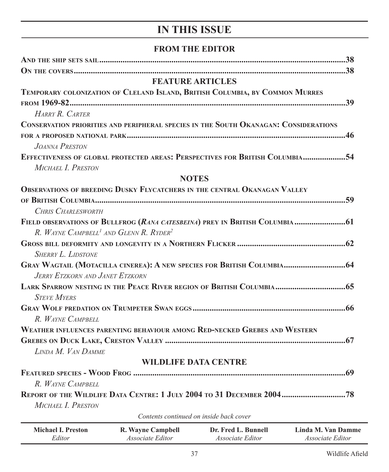## **IN THIS ISSUE**

## **FROM THE EDITOR**

|                                                                                             |                          | <b>FEATURE ARTICLES</b>                 |                    |
|---------------------------------------------------------------------------------------------|--------------------------|-----------------------------------------|--------------------|
| TEMPORARY COLONIZATION OF CLELAND ISLAND, BRITISH COLUMBIA, BY COMMON MURRES                |                          |                                         |                    |
|                                                                                             |                          |                                         |                    |
| HARRY R. CARTER                                                                             |                          |                                         |                    |
| <b>CONSERVATION PRIORITIES AND PERIPHERAL SPECIES IN THE SOUTH OKANAGAN: CONSIDERATIONS</b> |                          |                                         |                    |
|                                                                                             |                          |                                         |                    |
| <b>JOANNA PRESTON</b>                                                                       |                          |                                         |                    |
| EFFECTIVENESS OF GLOBAL PROTECTED AREAS: PERSPECTIVES FOR BRITISH COLUMBIA54                |                          |                                         |                    |
| MICHAEL I. PRESTON                                                                          |                          |                                         |                    |
|                                                                                             |                          | <b>NOTES</b>                            |                    |
| <b>OBSERVATIONS OF BREEDING DUSKY FLYCATCHERS IN THE CENTRAL OKANAGAN VALLEY</b>            |                          |                                         |                    |
|                                                                                             |                          |                                         |                    |
| <b>CHRIS CHARLESWORTH</b>                                                                   |                          |                                         |                    |
| FIELD OBSERVATIONS OF BULLFROG (RANA CATESBEINA) PREY IN BRITISH COLUMBIA  61               |                          |                                         |                    |
| R. WAYNE CAMPBELL <sup>1</sup> AND GLENN R. RYDER <sup>2</sup>                              |                          |                                         |                    |
|                                                                                             |                          |                                         |                    |
| <b>SHERRY L. LIDSTONE</b>                                                                   |                          |                                         |                    |
| GRAY WAGTAIL (MOTACILLA CINEREA): A NEW SPECIES FOR BRITISH COLUMBIA 64                     |                          |                                         |                    |
| JERRY ETZKORN AND JANET ETZKORN                                                             |                          |                                         |                    |
| LARK SPARROW NESTING IN THE PEACE RIVER REGION OF BRITISH COLUMBIA 65                       |                          |                                         |                    |
| <b>STEVE MYERS</b>                                                                          |                          |                                         |                    |
|                                                                                             |                          |                                         |                    |
| R. WAYNE CAMPBELL                                                                           |                          |                                         |                    |
| WEATHER INFLUENCES PARENTING BEHAVIOUR AMONG RED-NECKED GREBES AND WESTERN                  |                          |                                         |                    |
|                                                                                             |                          |                                         |                    |
| LINDA M. VAN DAMME                                                                          |                          |                                         |                    |
|                                                                                             |                          | <b>WILDLIFE DATA CENTRE</b>             |                    |
|                                                                                             |                          |                                         |                    |
| R. WAYNE CAMPBELL                                                                           |                          |                                         |                    |
| REPORT OF THE WILDLIFE DATA CENTRE: 1 JULY 2004 TO 31 DECEMBER 2004 78                      |                          |                                         |                    |
| MICHAEL I. PRESTON                                                                          |                          |                                         |                    |
|                                                                                             |                          | Contents continued on inside back cover |                    |
| <b>Michael I. Preston</b>                                                                   | <b>R. Wayne Campbell</b> | Dr. Fred L. Bunnell                     | Linda M. Van Damme |

*Associate Editor*

*Associate Editor*

*Associate Editor*

*Editor*